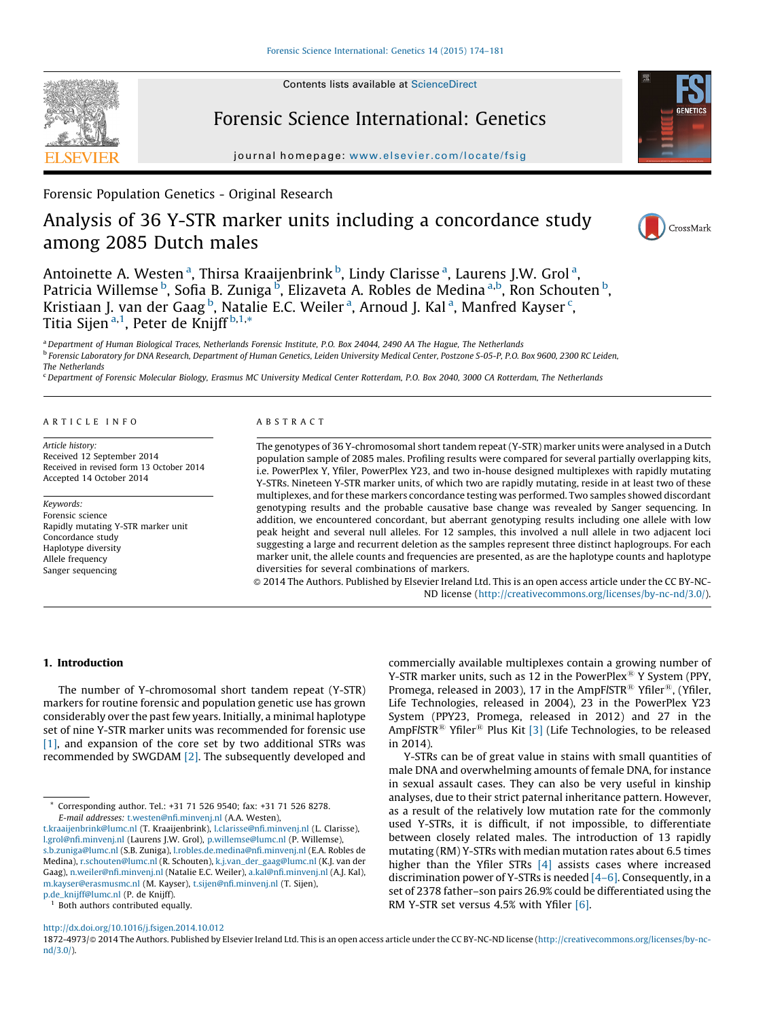Contents lists available at [ScienceDirect](http://www.sciencedirect.com/science/journal/18724973)

# Forensic Science International: Genetics

journal homepage: [www.elsevier.com/locate/fs](www.elsevier.com/locate/fsig)ig

Forensic Population Genetics - Original Research

# Analysis of 36 Y-STR marker units including a concordance study among 2085 Dutch males

Antoinette A. Westen <sup>a</sup>, Thirsa Kraaijenbrink <sup>b</sup>, Lindy Clarisse <sup>a</sup>, Laurens J.W. Grol <sup>a</sup>, Patricia Willemse <sup>b</sup>, Sofia B. Zuniga <sup>b</sup>, Elizaveta A. Robles de Medina <sup>a,b</sup>, Ron Schouten <sup>b</sup>, Kristiaan J. van der Gaag <sup>b</sup>, Natalie E.C. Weiler <sup>a</sup>, Arnoud J. Kal <sup>a</sup>, Manfred Kayser <sup>c</sup>, Titia Sijen<sup>a,1</sup>, Peter de Knijff<sup>b,1,</sup>\*

a Department of Human Biological Traces, Netherlands Forensic Institute, P.O. Box 24044, 2490 AA The Hague, The Netherlands <sup>b</sup> Forensic Laboratory for DNA Research, Department of Human Genetics, Leiden University Medical Center, Postzone S-05-P, P.O. Box 9600, 2300 RC Leiden, The Netherlands

<sup>c</sup> Department of Forensic Molecular Biology, Erasmus MC University Medical Center Rotterdam, P.O. Box 2040, 3000 CA Rotterdam, The Netherlands

#### A R T I C L E I N F O

Article history: Received 12 September 2014 Received in revised form 13 October 2014 Accepted 14 October 2014

Keywords: Forensic science Rapidly mutating Y-STR marker unit Concordance study Haplotype diversity Allele frequency Sanger sequencing

### A B S T R A C T

The genotypes of 36 Y-chromosomal short tandem repeat (Y-STR) marker units were analysed in a Dutch population sample of 2085 males. Profiling results were compared for several partially overlapping kits, i.e. PowerPlex Y, Yfiler, PowerPlex Y23, and two in-house designed multiplexes with rapidly mutating Y-STRs. Nineteen Y-STR marker units, of which two are rapidly mutating, reside in at least two of these multiplexes, and for these markers concordance testing was performed. Two samples showed discordant genotyping results and the probable causative base change was revealed by Sanger sequencing. In addition, we encountered concordant, but aberrant genotyping results including one allele with low peak height and several null alleles. For 12 samples, this involved a null allele in two adjacent loci suggesting a large and recurrent deletion as the samples represent three distinct haplogroups. For each marker unit, the allele counts and frequencies are presented, as are the haplotype counts and haplotype diversities for several combinations of markers.

- 2014 The Authors. Published by Elsevier Ireland Ltd. This is an open access article under the CC BY-NC-ND license (<http://creativecommons.org/licenses/by-nc-nd/3.0/>).

# 1. Introduction

The number of Y-chromosomal short tandem repeat (Y-STR) markers for routine forensic and population genetic use has grown considerably over the past few years. Initially, a minimal haplotype set of nine Y-STR marker units was recommended for forensic use [\[1\],](#page-7-0) and expansion of the core set by two additional STRs was recommended by SWGDAM [\[2\]](#page-7-0). The subsequently developed and

<sup>1</sup> Both authors contributed equally.

male DNA and overwhelming amounts of female DNA, for instance in sexual assault cases. They can also be very useful in kinship analyses, due to their strict paternal inheritance pattern. However, as a result of the relatively low mutation rate for the commonly

in 2014).

used Y-STRs, it is difficult, if not impossible, to differentiate between closely related males. The introduction of 13 rapidly mutating (RM) Y-STRs with median mutation rates about 6.5 times higher than the Yfiler STRs [\[4\]](#page-7-0) assists cases where increased discrimination power of Y-STRs is needed [\[4–6\].](#page-7-0) Consequently, in a set of 2378 father–son pairs 26.9% could be differentiated using the RM Y-STR set versus 4.5% with Yfiler [\[6\].](#page-7-0)

commercially available multiplexes contain a growing number of Y-STR marker units, such as 12 in the PowerPlex<sup>®</sup> Y System (PPY, Promega, released in 2003), 17 in the AmpFISTR<sup>®</sup> Yfiler<sup>®</sup>, (Yfiler, Life Technologies, released in 2004), 23 in the PowerPlex Y23 System (PPY23, Promega, released in 2012) and 27 in the  $AmpF/STR^{\textcircled{\tiny{\textregistered}} }$  Yfiler<sup>®</sup> Plus Kit [\[3\]](#page-7-0) (Life Technologies, to be released

Y-STRs can be of great value in stains with small quantities of

<http://dx.doi.org/10.1016/j.fsigen.2014.10.012>

1872-4973/@ 2014 The Authors. Published by Elsevier Ireland Ltd. This is an open access article under the CC BY-NC-ND license [\(http://creativecommons.org/licenses/by-nc](http://creativecommons.org/licenses/by-nc-nd/3.0/)[nd/3.0/\)](http://creativecommons.org/licenses/by-nc-nd/3.0/).







<sup>\*</sup> Corresponding author. Tel.: +31 71 526 9540; fax: +31 71 526 8278. E-mail addresses: [t.westen@nfi.minvenj.nl](mailto:t.westen@nfi.minvenj.nl) (A.A. Westen),

[t.kraaijenbrink@lumc.nl](mailto:t.kraaijenbrink@lumc.nl) (T. Kraaijenbrink), [l.clarisse@nfi.minvenj.nl](mailto:l.clarisse@nfi.minvenj.nl) (L. Clarisse), [l.grol@nfi.minvenj.nl](mailto:l.grol@nfi.minvenj.nl) (Laurens J.W. Grol), [p.willemse@lumc.nl](mailto:p.willemse@lumc.nl) (P. Willemse), [s.b.zuniga@lumc.nl](mailto:s.b.zuniga@lumc.nl) (S.B. Zuniga), [l.robles.de.medina@nfi.minvenj.nl](mailto:l.robles.de.medina@nfi.minvenj.nl) (E.A. Robles de Medina), [r.schouten@lumc.nl](mailto:r.schouten@lumc.nl) (R. Schouten), [k.j.van\\_der\\_gaag@lumc.nl](mailto:k.j.van_der_gaag@lumc.nl) (K.J. van der Gaag), [n.weiler@nfi.minvenj.nl](mailto:n.weiler@nfi.minvenj.nl) (Natalie E.C. Weiler), [a.kal@nfi.minvenj.nl](mailto:a.kal@nfi.minvenj.nl) (A.J. Kal), [m.kayser@erasmusmc.nl](mailto:m.kayser@erasmusmc.nl) (M. Kayser), [t.sijen@nfi.minvenj.nl](mailto:t.sijen@nfi.minvenj.nl) (T. Sijen), [p.de\\_knijff@lumc.nl](mailto:p.de_knijff@lumc.nl) (P. de Knijff).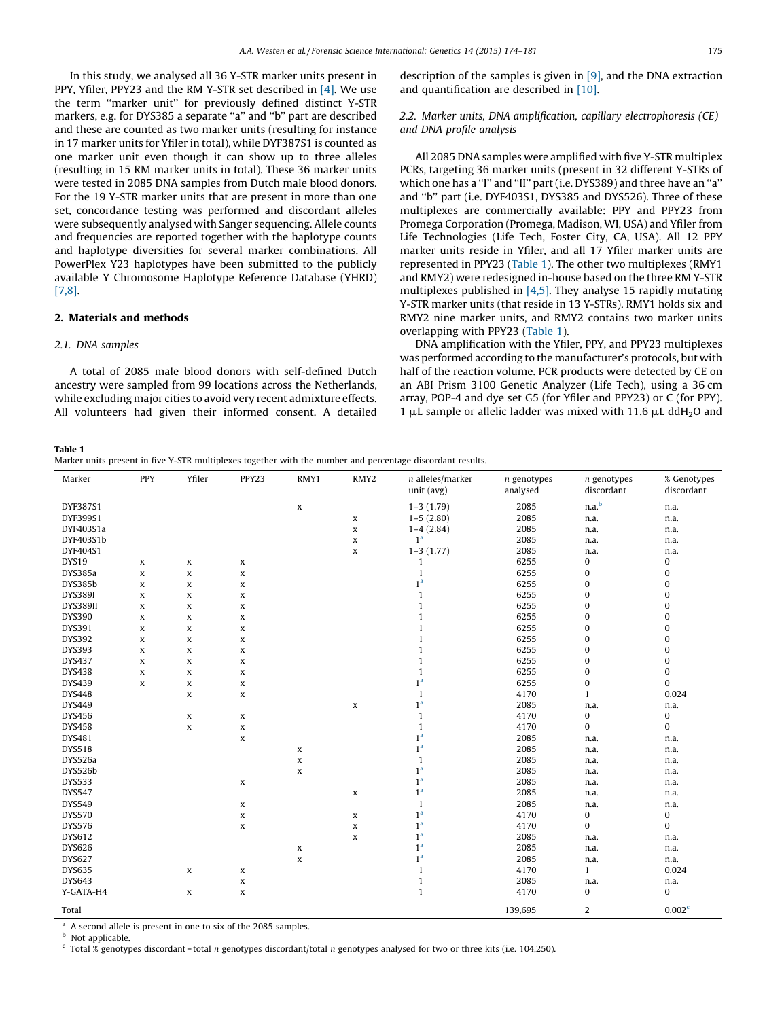<span id="page-1-0"></span>In this study, we analysed all 36 Y-STR marker units present in PPY, Yfiler, PPY23 and the RM Y-STR set described in [\[4\]](#page-7-0). We use the term ''marker unit'' for previously defined distinct Y-STR markers, e.g. for DYS385 a separate ''a'' and ''b'' part are described and these are counted as two marker units (resulting for instance in 17 marker units for Yfiler in total), while DYF387S1 is counted as one marker unit even though it can show up to three alleles (resulting in 15 RM marker units in total). These 36 marker units were tested in 2085 DNA samples from Dutch male blood donors. For the 19 Y-STR marker units that are present in more than one set, concordance testing was performed and discordant alleles were subsequently analysed with Sanger sequencing. Allele counts and frequencies are reported together with the haplotype counts and haplotype diversities for several marker combinations. All PowerPlex Y23 haplotypes have been submitted to the publicly available Y Chromosome Haplotype Reference Database (YHRD) [\[7,8\]](#page-7-0).

#### 2. Materials and methods

#### 2.1. DNA samples

A total of 2085 male blood donors with self-defined Dutch ancestry were sampled from 99 locations across the Netherlands, while excluding major cities to avoid very recent admixture effects. All volunteers had given their informed consent. A detailed description of the samples is given in [\[9\],](#page-7-0) and the DNA extraction and quantification are described in [\[10\].](#page-7-0)

# 2.2. Marker units, DNA amplification, capillary electrophoresis (CE) and DNA profile analysis

All 2085 DNA samples were amplified with five Y-STR multiplex PCRs, targeting 36 marker units (present in 32 different Y-STRs of which one has a ''I'' and ''II'' part (i.e. DYS389) and three have an ''a'' and ''b'' part (i.e. DYF403S1, DYS385 and DYS526). Three of these multiplexes are commercially available: PPY and PPY23 from Promega Corporation (Promega, Madison, WI, USA) and Yfiler from Life Technologies (Life Tech, Foster City, CA, USA). All 12 PPY marker units reside in Yfiler, and all 17 Yfiler marker units are represented in PPY23 (Table 1). The other two multiplexes (RMY1 and RMY2) were redesigned in-house based on the three RM Y-STR multiplexes published in [\[4,5\].](#page-7-0) They analyse 15 rapidly mutating Y-STR marker units (that reside in 13 Y-STRs). RMY1 holds six and RMY2 nine marker units, and RMY2 contains two marker units overlapping with PPY23 (Table 1).

DNA amplification with the Yfiler, PPY, and PPY23 multiplexes was performed according to the manufacturer's protocols, but with half of the reaction volume. PCR products were detected by CE on an ABI Prism 3100 Genetic Analyzer (Life Tech), using a 36 cm array, POP-4 and dye set G5 (for Yfiler and PPY23) or C (for PPY). 1  $\mu$ L sample or allelic ladder was mixed with 11.6  $\mu$ L ddH<sub>2</sub>O and

#### Table 1

Marker units present in five Y-STR multiplexes together with the number and percentage discordant results.

| Marker         | PPY         | Yfiler      | PPY23       | RMY1        | RMY2                       | $n$ alleles/marker<br>unit (avg) | $n$ genotypes<br>analysed | $n$ genotypes<br>discordant | % Genotypes<br>discordant |
|----------------|-------------|-------------|-------------|-------------|----------------------------|----------------------------------|---------------------------|-----------------------------|---------------------------|
| DYF387S1       |             |             |             |             |                            | $1-3(1.79)$                      | 2085                      | n.a. <sup>b</sup>           |                           |
| DYF399S1       |             |             |             | $\mathbf x$ | $\mathbf x$                | $1-5(2.80)$                      | 2085                      | n.a.                        | n.a.<br>n.a.              |
| DYF403S1a      |             |             |             |             |                            | $1-4(2.84)$                      | 2085                      | n.a.                        | n.a.                      |
| DYF403S1b      |             |             |             |             | $\mathbf x$<br>$\mathbf x$ | 1 <sup>a</sup>                   | 2085                      | n.a.                        | n.a.                      |
| DYF404S1       |             |             |             |             | $\mathbf x$                | $1-3(1.77)$                      | 2085                      | n.a.                        | n.a.                      |
| DYS19          |             |             |             |             |                            | $\mathbf{1}$                     | 6255                      | 0                           | 0                         |
| DYS385a        | X           | X           | X           |             |                            | $\mathbf{1}$                     | 6255                      | 0                           | 0                         |
| <b>DYS385b</b> | $\mathbf x$ | x           | X           |             |                            | 1 <sup>a</sup>                   |                           |                             |                           |
|                | $\mathbf x$ | x           | X           |             |                            |                                  | 6255                      | 0                           | 0                         |
| <b>DYS389I</b> | $\mathbf x$ | X           | X           |             |                            | $\mathbf{1}$                     | 6255                      | $\pmb{0}$                   | $\bf{0}$                  |
| DYS389II       | $\mathbf x$ | x           | X           |             |                            | $\mathbf{1}$                     | 6255                      | $\pmb{0}$                   | 0                         |
| <b>DYS390</b>  | $\mathbf x$ | x           | $\mathbf x$ |             |                            | $\mathbf{1}$                     | 6255                      | $\pmb{0}$                   | 0                         |
| DYS391         | X           | X           | X           |             |                            | $\mathbf{1}$                     | 6255                      | $\bf{0}$                    | 0                         |
| <b>DYS392</b>  | $\mathbf x$ | x           | X           |             |                            | $\mathbf{1}$                     | 6255                      | $\pmb{0}$                   | $\bf{0}$                  |
| <b>DYS393</b>  | $\mathbf x$ | x           | X           |             |                            | $\mathbf{1}$                     | 6255                      | $\pmb{0}$                   | $\bf{0}$                  |
| <b>DYS437</b>  | $\mathbf x$ | x           | X           |             |                            | $\mathbf{1}$                     | 6255                      | 0                           | 0                         |
| <b>DYS438</b>  | $\mathbf x$ | X           | X           |             |                            | $\mathbf{1}$                     | 6255                      | $\pmb{0}$                   | 0                         |
| <b>DYS439</b>  | X           | X           | X           |             |                            | 1 <sup>a</sup>                   | 6255                      | $\pmb{0}$                   | 0                         |
| <b>DYS448</b>  |             | x           | X           |             |                            | $\mathbf{1}$                     | 4170                      | $\mathbf{1}$                | 0.024                     |
| <b>DYS449</b>  |             |             |             |             | $\mathbf x$                | 1 <sup>a</sup>                   | 2085                      | n.a.                        | n.a.                      |
| <b>DYS456</b>  |             | $\mathbf x$ | $\mathbf x$ |             |                            | $\mathbf{1}$                     | 4170                      | $\pmb{0}$                   | 0                         |
| <b>DYS458</b>  |             | X           | $\mathbf x$ |             |                            | $\mathbf{1}$                     | 4170                      | $\bf{0}$                    | 0                         |
| DYS481         |             |             | X           |             |                            | 1 <sup>a</sup>                   | 2085                      | n.a.                        | n.a.                      |
| <b>DYS518</b>  |             |             |             | $\mathbf x$ |                            | 1 <sup>a</sup>                   | 2085                      | n.a.                        | n.a.                      |
| DYS526a        |             |             |             | $\mathbf x$ |                            | $\mathbf{1}$                     | 2085                      | n.a.                        | n.a.                      |
| DYS526b        |             |             |             | X           |                            | 1 <sup>a</sup>                   | 2085                      | n.a.                        | n.a.                      |
| <b>DYS533</b>  |             |             | X           |             |                            | 1 <sup>a</sup>                   | 2085                      | n.a.                        | n.a.                      |
| <b>DYS547</b>  |             |             |             |             | $\mathbf x$                | 1 <sup>a</sup>                   | 2085                      | n.a.                        | n.a.                      |
| <b>DYS549</b>  |             |             | X           |             |                            | $\mathbf{1}$                     | 2085                      | n.a.                        | n.a.                      |
| <b>DYS570</b>  |             |             | $\mathbf x$ |             | $\mathbf x$                | 1 <sup>a</sup>                   | 4170                      | $\pmb{0}$                   | 0                         |
| <b>DYS576</b>  |             |             | $\mathbf x$ |             | $\mathbf x$                | 1 <sup>a</sup>                   | 4170                      | 0                           | $\bf{0}$                  |
| DYS612         |             |             |             |             | $\mathbf x$                | 1 <sup>a</sup>                   | 2085                      | n.a.                        | n.a.                      |
| <b>DYS626</b>  |             |             |             | x           |                            | 1 <sup>a</sup>                   | 2085                      | n.a.                        | n.a.                      |
| <b>DYS627</b>  |             |             |             | $\mathbf x$ |                            | 1 <sup>a</sup>                   | 2085                      | n.a.                        | n.a.                      |
| <b>DYS635</b>  |             | x           | X           |             |                            | $\mathbf{1}$                     | 4170                      | $\mathbf{1}$                | 0.024                     |
| <b>DYS643</b>  |             |             | X           |             |                            | $\mathbf{1}$                     | 2085                      | n.a.                        | n.a.                      |
| Y-GATA-H4      |             | X           | X           |             |                            | $\mathbf{1}$                     | 4170                      | 0                           | 0                         |
| Total          |             |             |             |             |                            |                                  | 139,695                   | 2                           | 0.002 <sup>c</sup>        |

<sup>a</sup> A second allele is present in one to six of the 2085 samples.

**b** Not applicable.

 $c$  Total % genotypes discordant = total n genotypes discordant/total n genotypes analysed for two or three kits (i.e. 104,250).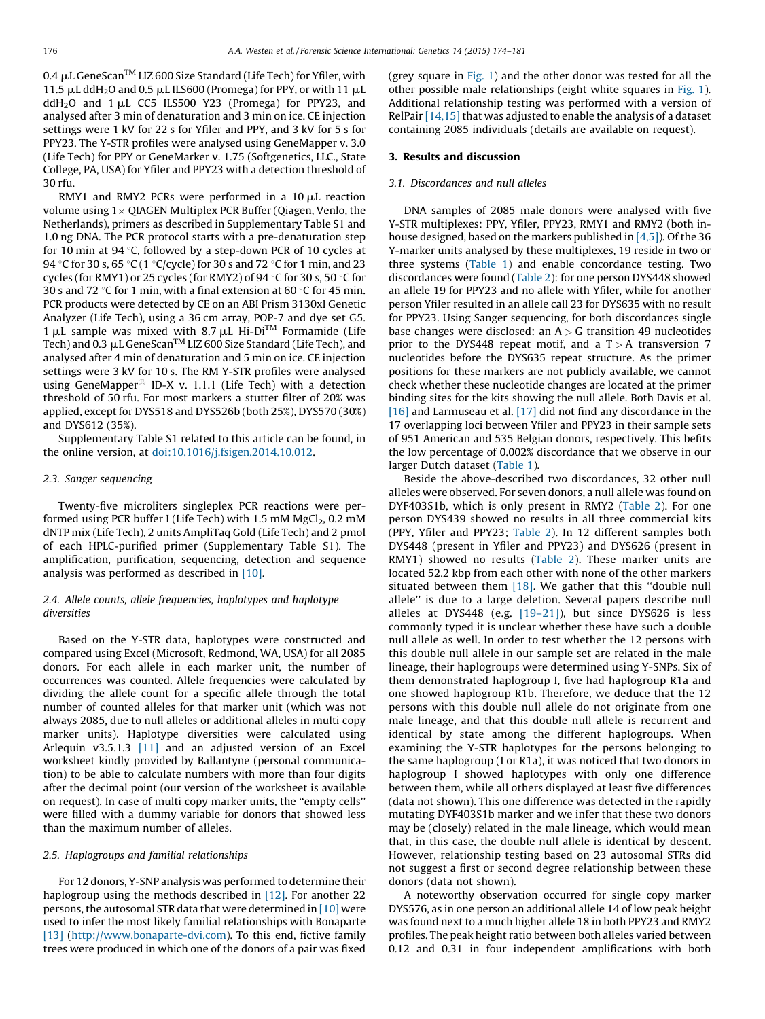0.4  $\mu$ L GeneScan<sup>TM</sup> LIZ 600 Size Standard (Life Tech) for Yfiler, with 11.5  $\mu$ L ddH<sub>2</sub>O and 0.5  $\mu$ L ILS600 (Promega) for PPY, or with 11  $\mu$ L ddH<sub>2</sub>O and  $1 \mu$ L CC5 ILS500 Y23 (Promega) for PPY23, and analysed after 3 min of denaturation and 3 min on ice. CE injection settings were 1 kV for 22 s for Yfiler and PPY, and 3 kV for 5 s for PPY23. The Y-STR profiles were analysed using GeneMapper v. 3.0 (Life Tech) for PPY or GeneMarker v. 1.75 (Softgenetics, LLC., State College, PA, USA) for Yfiler and PPY23 with a detection threshold of 30 rfu.

RMY1 and RMY2 PCRs were performed in a  $10 \mu$ L reaction volume using 1 $\times$  QIAGEN Multiplex PCR Buffer (Qiagen, Venlo, the Netherlands), primers as described in Supplementary Table S1 and 1.0 ng DNA. The PCR protocol starts with a pre-denaturation step for 10 min at 94 $\degree$ C, followed by a step-down PCR of 10 cycles at 94 °C for 30 s, 65 °C (1 °C/cycle) for 30 s and 72 °C for 1 min, and 23 cycles (for RMY1) or 25 cycles (for RMY2) of 94  $\degree$ C for 30 s, 50  $\degree$ C for 30 s and 72 °C for 1 min, with a final extension at 60 °C for 45 min. PCR products were detected by CE on an ABI Prism 3130xl Genetic Analyzer (Life Tech), using a 36 cm array, POP-7 and dye set G5.  $1 \mu$ L sample was mixed with 8.7  $\mu$ L Hi-Di<sup>TM</sup> Formamide (Life Tech) and  $0.3 \mu L$  GeneScan<sup>TM</sup> LIZ 600 Size Standard (Life Tech), and analysed after 4 min of denaturation and 5 min on ice. CE injection settings were 3 kV for 10 s. The RM Y-STR profiles were analysed using GeneMapper<sup>®</sup> ID-X v. 1.1.1 (Life Tech) with a detection threshold of 50 rfu. For most markers a stutter filter of 20% was applied, except for DYS518 and DYS526b (both 25%), DYS570 (30%) and DYS612 (35%).

Supplementary Table S1 related to this article can be found, in the online version, at [doi:10.1016/j.fsigen.2014.10.012.](http://dx.doi.org/10.1016/j.fsigen.2014.10.012)

#### 2.3. Sanger sequencing

Twenty-five microliters singleplex PCR reactions were performed using PCR buffer I (Life Tech) with 1.5 mM  $MgCl<sub>2</sub>$ , 0.2 mM dNTP mix (Life Tech), 2 units AmpliTaq Gold (Life Tech) and 2 pmol of each HPLC-purified primer (Supplementary Table S1). The amplification, purification, sequencing, detection and sequence analysis was performed as described in [\[10\]](#page-7-0).

#### 2.4. Allele counts, allele frequencies, haplotypes and haplotype diversities

Based on the Y-STR data, haplotypes were constructed and compared using Excel (Microsoft, Redmond, WA, USA) for all 2085 donors. For each allele in each marker unit, the number of occurrences was counted. Allele frequencies were calculated by dividing the allele count for a specific allele through the total number of counted alleles for that marker unit (which was not always 2085, due to null alleles or additional alleles in multi copy marker units). Haplotype diversities were calculated using Arlequin v3.5.1.3 [\[11\]](#page-7-0) and an adjusted version of an Excel worksheet kindly provided by Ballantyne (personal communication) to be able to calculate numbers with more than four digits after the decimal point (our version of the worksheet is available on request). In case of multi copy marker units, the ''empty cells'' were filled with a dummy variable for donors that showed less than the maximum number of alleles.

#### 2.5. Haplogroups and familial relationships

For 12 donors, Y-SNP analysis was performed to determine their haplogroup using the methods described in  $[12]$ . For another 22 persons, the autosomal STR data that were determined in  $[10]$  were used to infer the most likely familial relationships with Bonaparte [\[13\]](#page-7-0) ([http://www.bonaparte-dvi.com](http://www.bonaparte-dvi.com/)). To this end, fictive family trees were produced in which one of the donors of a pair was fixed (grey square in [Fig.](#page-3-0) 1) and the other donor was tested for all the other possible male relationships (eight white squares in [Fig.](#page-3-0) 1). Additional relationship testing was performed with a version of RelPair [\[14,15\]](#page-7-0) that was adjusted to enable the analysis of a dataset containing 2085 individuals (details are available on request).

# 3. Results and discussion

#### 3.1. Discordances and null alleles

DNA samples of 2085 male donors were analysed with five Y-STR multiplexes: PPY, Yfiler, PPY23, RMY1 and RMY2 (both inhouse designed, based on the markers published in [\[4,5\]\)](#page-7-0). Of the 36 Y-marker units analysed by these multiplexes, 19 reside in two or three systems ([Table](#page-1-0) 1) and enable concordance testing. Two discordances were found ([Table](#page-3-0) 2): for one person DYS448 showed an allele 19 for PPY23 and no allele with Yfiler, while for another person Yfiler resulted in an allele call 23 for DYS635 with no result for PPY23. Using Sanger sequencing, for both discordances single base changes were disclosed: an  $A > G$  transition 49 nucleotides prior to the DYS448 repeat motif, and a  $T > A$  transversion 7 nucleotides before the DYS635 repeat structure. As the primer positions for these markers are not publicly available, we cannot check whether these nucleotide changes are located at the primer binding sites for the kits showing the null allele. Both Davis et al. [\[16\]](#page-7-0) and Larmuseau et al. [\[17\]](#page-7-0) did not find any discordance in the 17 overlapping loci between Yfiler and PPY23 in their sample sets of 951 American and 535 Belgian donors, respectively. This befits the low percentage of 0.002% discordance that we observe in our larger Dutch dataset [\(Table](#page-1-0) 1).

Beside the above-described two discordances, 32 other null alleles were observed. For seven donors, a null allele was found on DYF403S1b, which is only present in RMY2 [\(Table](#page-3-0) 2). For one person DYS439 showed no results in all three commercial kits (PPY, Yfiler and PPY23; [Table](#page-3-0) 2). In 12 different samples both DYS448 (present in Yfiler and PPY23) and DYS626 (present in RMY1) showed no results ([Table](#page-3-0) 2). These marker units are located 52.2 kbp from each other with none of the other markers situated between them [\[18\]](#page-7-0). We gather that this "double null allele'' is due to a large deletion. Several papers describe null alleles at DYS448 (e.g.  $[19-21]$ ), but since DYS626 is less commonly typed it is unclear whether these have such a double null allele as well. In order to test whether the 12 persons with this double null allele in our sample set are related in the male lineage, their haplogroups were determined using Y-SNPs. Six of them demonstrated haplogroup I, five had haplogroup R1a and one showed haplogroup R1b. Therefore, we deduce that the 12 persons with this double null allele do not originate from one male lineage, and that this double null allele is recurrent and identical by state among the different haplogroups. When examining the Y-STR haplotypes for the persons belonging to the same haplogroup (I or R1a), it was noticed that two donors in haplogroup I showed haplotypes with only one difference between them, while all others displayed at least five differences (data not shown). This one difference was detected in the rapidly mutating DYF403S1b marker and we infer that these two donors may be (closely) related in the male lineage, which would mean that, in this case, the double null allele is identical by descent. However, relationship testing based on 23 autosomal STRs did not suggest a first or second degree relationship between these donors (data not shown).

A noteworthy observation occurred for single copy marker DYS576, as in one person an additional allele 14 of low peak height was found next to a much higher allele 18 in both PPY23 and RMY2 profiles. The peak height ratio between both alleles varied between 0.12 and 0.31 in four independent amplifications with both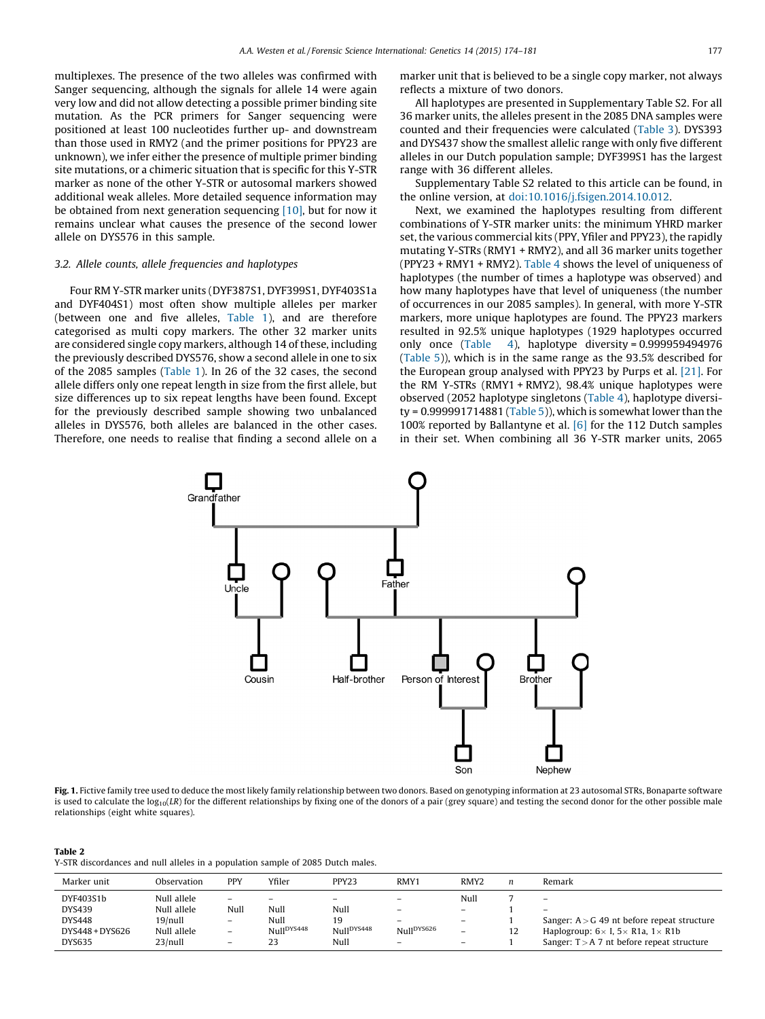<span id="page-3-0"></span>multiplexes. The presence of the two alleles was confirmed with Sanger sequencing, although the signals for allele 14 were again very low and did not allow detecting a possible primer binding site mutation. As the PCR primers for Sanger sequencing were positioned at least 100 nucleotides further up- and downstream than those used in RMY2 (and the primer positions for PPY23 are unknown), we infer either the presence of multiple primer binding site mutations, or a chimeric situation that is specific for this Y-STR marker as none of the other Y-STR or autosomal markers showed additional weak alleles. More detailed sequence information may be obtained from next generation sequencing [\[10\],](#page-7-0) but for now it remains unclear what causes the presence of the second lower allele on DYS576 in this sample.

#### 3.2. Allele counts, allele frequencies and haplotypes

Four RM Y-STR marker units (DYF387S1, DYF399S1, DYF403S1a and DYF404S1) most often show multiple alleles per marker (between one and five alleles, [Table](#page-1-0) 1), and are therefore categorised as multi copy markers. The other 32 marker units are considered single copy markers, although 14 of these, including the previously described DYS576, show a second allele in one to six of the 2085 samples [\(Table](#page-1-0) 1). In 26 of the 32 cases, the second allele differs only one repeat length in size from the first allele, but size differences up to six repeat lengths have been found. Except for the previously described sample showing two unbalanced alleles in DYS576, both alleles are balanced in the other cases. Therefore, one needs to realise that finding a second allele on a marker unit that is believed to be a single copy marker, not always reflects a mixture of two donors.

All haplotypes are presented in Supplementary Table S2. For all 36 marker units, the alleles present in the 2085 DNA samples were counted and their frequencies were calculated ([Table](#page-4-0) 3). DYS393 and DYS437 show the smallest allelic range with only five different alleles in our Dutch population sample; DYF399S1 has the largest range with 36 different alleles.

Supplementary Table S2 related to this article can be found, in the online version, at [doi:10.1016/j.fsigen.2014.10.012](http://dx.doi.org/10.1016/j.fsigen.2014.10.012).

Next, we examined the haplotypes resulting from different combinations of Y-STR marker units: the minimum YHRD marker set, the various commercial kits (PPY, Yfiler and PPY23), the rapidly mutating Y-STRs (RMY1 + RMY2), and all 36 marker units together (PPY23 + RMY1 + RMY2). [Table](#page-6-0) 4 shows the level of uniqueness of haplotypes (the number of times a haplotype was observed) and how many haplotypes have that level of uniqueness (the number of occurrences in our 2085 samples). In general, with more Y-STR markers, more unique haplotypes are found. The PPY23 markers resulted in 92.5% unique haplotypes (1929 haplotypes occurred only once ([Table](#page-6-0) 4), haplotype diversity = 0.999959494976 ([Table](#page-6-0) 5)), which is in the same range as the 93.5% described for the European group analysed with PPY23 by Purps et al. [\[21\].](#page-7-0) For the RM Y-STRs (RMY1 + RMY2), 98.4% unique haplotypes were observed (2052 haplotype singletons ([Table](#page-6-0) 4), haplotype diversity =  $0.999991714881$  [\(Table](#page-6-0) 5)), which is somewhat lower than the 100% reported by Ballantyne et al. [\[6\]](#page-7-0) for the 112 Dutch samples in their set. When combining all 36 Y-STR marker units, 2065



Fig. 1. Fictive family tree used to deduce the most likely family relationship between two donors. Based on genotyping information at 23 autosomal STRs, Bonaparte software is used to calculate the  $log_{10}(LR)$  for the different relationships by fixing one of the donors of a pair (grey square) and testing the second donor for the other possible male relationships (eight white squares).

| Table 2                                                                         |  |
|---------------------------------------------------------------------------------|--|
| Y-STR discordances and null alleles in a population sample of 2085 Dutch males. |  |

. . . . .

| Marker unit                                             | Observation                                          | PPY                                                                                      | Yfiler                                      | PPY <sub>23</sub>                                                | RMY1                                                                                                       | RMY <sub>2</sub>                        | n  | Remark                                                                                                                                     |
|---------------------------------------------------------|------------------------------------------------------|------------------------------------------------------------------------------------------|---------------------------------------------|------------------------------------------------------------------|------------------------------------------------------------------------------------------------------------|-----------------------------------------|----|--------------------------------------------------------------------------------------------------------------------------------------------|
| DYF403S1b<br>DYS439<br><b>DYS448</b><br>DYS448 + DYS626 | Null allele<br>Null allele<br>19/null<br>Null allele | $\overline{\phantom{0}}$<br>Null<br>$\overline{\phantom{m}}$<br>$\overline{\phantom{m}}$ | -<br>Null<br>Null<br>Null <sup>DYS448</sup> | $\overline{\phantom{0}}$<br>Null<br>19<br>Null <sup>DYS448</sup> | $\overline{\phantom{0}}$<br>$\overline{\phantom{0}}$<br>$\overline{\phantom{0}}$<br>Null <sup>DYS626</sup> | Null<br>$-$<br>$\overline{\phantom{0}}$ | 12 | -<br>$\overline{\phantom{0}}$<br>Sanger: $A > G$ 49 nt before repeat structure<br>Haplogroup: $6 \times$ I, $5 \times$ R1a, $1 \times$ R1b |
| <b>DYS635</b>                                           | $23$ /null                                           | $\qquad \qquad$                                                                          | 23                                          | Null                                                             | -                                                                                                          | $\overline{\phantom{0}}$                |    | Sanger: $T > A$ 7 nt before repeat structure                                                                                               |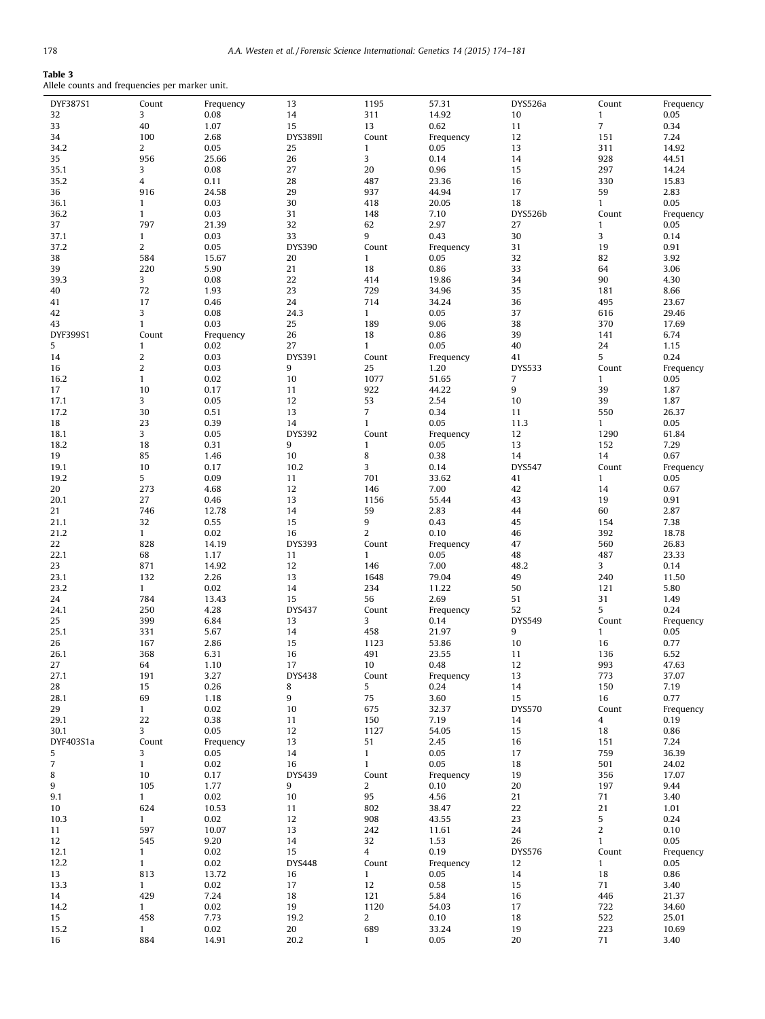# <span id="page-4-0"></span>Table 3

Allele counts and frequencies per marker unit.

| DYF387S1       | Count          | Frequency | 13            | 1195           | 57.31     | DYS526a       | Count          | Frequency    |
|----------------|----------------|-----------|---------------|----------------|-----------|---------------|----------------|--------------|
| 32             | 3              | 0.08      | 14            | 311            | 14.92     | 10            | $\mathbf{1}$   | 0.05         |
| 33             | 40             | 1.07      | 15            | 13             | 0.62      | 11            | $\overline{7}$ | 0.34         |
| 34             | 100            | 2.68      | DYS389II      | Count          | Frequency | 12            | 151            | 7.24         |
| 34.2           | $\overline{2}$ | 0.05      | 25            | $\mathbf{1}$   | 0.05      | 13            | 311            | 14.92        |
| 35             | 956            | 25.66     | 26            | 3              | 0.14      | 14            | 928            | 44.51        |
| 35.1           | 3              | 0.08      | 27            | 20             | 0.96      | 15            | 297            | 14.24        |
| 35.2           | 4              | 0.11      | 28            | 487            | 23.36     | 16            | 330            | 15.83        |
| 36             | 916            | 24.58     | 29            | 937            | 44.94     | 17            | 59             | 2.83         |
| 36.1           | $\mathbf{1}$   | 0.03      | 30            | 418            | 20.05     | 18            | $\mathbf{1}$   | 0.05         |
| 36.2           | $\mathbf{1}$   | 0.03      | 31            | 148            | 7.10      | DYS526b       | Count          | Frequency    |
| 37             | 797            | 21.39     | 32            | 62             | 2.97      | 27            | $\mathbf{1}$   | 0.05         |
| 37.1           | $\mathbf{1}$   | 0.03      | 33            | 9              | 0.43      | 30            | 3              | 0.14         |
| 37.2           | $\overline{2}$ | 0.05      | DYS390        | Count          | Frequency | 31            | 19             | 0.91         |
| 38             | 584            | 15.67     | 20            | $\mathbf{1}$   | 0.05      | 32            | 82             | 3.92         |
| 39             | 220            | 5.90      | 21            | 18             | 0.86      | 33            | 64             | 3.06         |
| 39.3           | 3              | 0.08      | 22            | 414            | 19.86     | 34            | 90             | 4.30         |
| 40             | 72             | 1.93      | 23            | 729            | 34.96     | 35            | 181            | 8.66         |
| 41             | 17             | 0.46      | 24            | 714            | 34.24     | 36            | 495            | 23.67        |
| 42             | 3              | 0.08      | 24.3          | $\mathbf{1}$   | 0.05      | 37            | 616            | 29.46        |
| 43             | $\mathbf{1}$   | 0.03      | 25            | 189            | 9.06      | 38            | 370            | 17.69        |
| DYF399S1       | Count          | Frequency | 26            | 18             | 0.86      | 39            | 141            | 6.74         |
| 5              | $\mathbf{1}$   | 0.02      | 27            | $\mathbf{1}$   | 0.05      | 40            | 24             | 1.15         |
| 14             | $\overline{c}$ | 0.03      | DYS391        | Count          | Frequency | 41            | 5              | 0.24         |
| 16             | $\overline{2}$ | 0.03      | 9             | 25             | 1.20      | <b>DYS533</b> | Count          | Frequency    |
| 16.2           | $\mathbf{1}$   | 0.02      | 10            | 1077           | 51.65     | 7             | $\mathbf{1}$   | 0.05         |
| 17             | 10             | 0.17      | 11            | 922            | 44.22     | 9             | 39             | 1.87         |
| 17.1           | 3              | 0.05      | 12            | 53             | 2.54      | 10            | 39             | 1.87         |
| 17.2           | 30             | 0.51      | 13            | $\overline{7}$ | 0.34      | 11            | 550            | 26.37        |
| 18             | 23             | 0.39      | 14            | $\mathbf{1}$   | 0.05      | 11.3          | $\mathbf{1}$   | 0.05         |
| 18.1           | 3              | 0.05      | DYS392        | Count          | Frequency | 12            | 1290           | 61.84        |
| 18.2           | 18             | 0.31      | 9             | $\mathbf{1}$   | 0.05      | 13            | 152            | 7.29         |
| 19             | 85             | 1.46      | 10            | 8              | 0.38      | 14            | 14             | 0.67         |
| 19.1           | 10             | 0.17      | 10.2          | 3              | 0.14      | <b>DYS547</b> | Count          | Frequency    |
| 19.2           | 5              | 0.09      | 11            | 701            | 33.62     | 41            | $\mathbf{1}$   | 0.05         |
| 20             | 273            | 4.68      | 12            |                | 7.00      | 42            | 14             |              |
| 20.1           | 27             | 0.46      | 13            | 146<br>1156    | 55.44     | 43            | 19             | 0.67<br>0.91 |
|                | 746            |           | 14            |                |           |               | 60             |              |
| 21             |                | 12.78     |               | 59             | 2.83      | 44            |                | 2.87         |
| 21.1           | 32             | 0.55      | 15            | 9              | 0.43      | 45            | 154            | 7.38         |
| 21.2           | $\mathbf{1}$   | 0.02      | 16            | $\overline{2}$ | 0.10      | 46            | 392            | 18.78        |
| 22             | 828            | 14.19     | <b>DYS393</b> | Count          | Frequency | 47            | 560            | 26.83        |
| 22.1           | 68             | 1.17      | 11            | $\mathbf{1}$   | 0.05      | 48            | 487            | 23.33        |
| 23             | 871            | 14.92     | 12            | 146            | 7.00      | 48.2          | 3              | 0.14         |
| 23.1           | 132            | 2.26      | 13            | 1648           | 79.04     | 49            | 240            | 11.50        |
| 23.2           | $\mathbf{1}$   | 0.02      | 14            | 234            | 11.22     | 50            | 121            | 5.80         |
| 24             | 784            | 13.43     | 15            | 56             | 2.69      | 51            | 31             | 1.49         |
| 24.1           | 250            | 4.28      | <b>DYS437</b> | Count          | Frequency | 52            | 5              | 0.24         |
| 25             | 399            | 6.84      | 13            | 3              | 0.14      | <b>DYS549</b> | Count          | Frequency    |
| 25.1           | 331            | 5.67      | 14            | 458            | 21.97     | 9             | $\mathbf{1}$   | 0.05         |
| 26             | 167            | 2.86      | 15            | 1123           | 53.86     | 10            | 16             | 0.77         |
| 26.1           | 368            | 6.31      | 16            | 491            | 23.55     | 11            | 136            | 6.52         |
| 27             | 64             | 1.10      | 17            | 10             | 0.48      | 12            | 993            | 47.63        |
| 27.1           | 191            | 3.27      | <b>DYS438</b> | Count          | Frequency | 13            | 773            | 37.07        |
| 28             | 15             | 0.26      | 8             | 5              | 0.24      | 14            | 150            | 7.19         |
| 28.1           | 69             | 1.18      | 9             | 75             | 3.60      | 15            | 16             | 0.77         |
| 29             | $\mathbf{1}$   | 0.02      | 10            | 675            | 32.37     | <b>DYS570</b> | Count          | Frequency    |
| 29.1           | 22             | 0.38      | 11            | 150            | 7.19      | 14            | $\overline{4}$ | 0.19         |
| 30.1           | 3              | 0.05      | 12            | 1127           | 54.05     | 15            | 18             | 0.86         |
| DYF403S1a      | Count          | Frequency | 13            | 51             | 2.45      | 16            | 151            | 7.24         |
| 5              | 3              | 0.05      | 14            | $\mathbf{1}$   | 0.05      | 17            | 759            | 36.39        |
| $\overline{7}$ | $\mathbf{1}$   | 0.02      | 16            | $\mathbf{1}$   | 0.05      | 18            | 501            | 24.02        |
| 8              | 10             | 0.17      | <b>DYS439</b> | Count          | Frequency | 19            | 356            | 17.07        |
| 9              | 105            | 1.77      | 9             | $\overline{a}$ | 0.10      | 20            | 197            | 9.44         |
| 9.1            | $\mathbf{1}$   | 0.02      | 10            | 95             | 4.56      | 21            | 71             | 3.40         |
| 10             | 624            | 10.53     | 11            | 802            | 38.47     | 22            | 21             | 1.01         |
| 10.3           | $\mathbf{1}$   | 0.02      | 12            | 908            | 43.55     | 23            | 5              | 0.24         |
| 11             | 597            | 10.07     | 13            | 242            | 11.61     | 24            | $\overline{c}$ | 0.10         |
| 12             | 545            | 9.20      | 14            | 32             | 1.53      | 26            | $\mathbf{1}$   | 0.05         |
| 12.1           | $\mathbf{1}$   | 0.02      | 15            | $\overline{4}$ | 0.19      | <b>DYS576</b> | Count          | Frequency    |
| 12.2           | $\mathbf{1}$   | 0.02      | <b>DYS448</b> | Count          | Frequency | 12            | $\mathbf{1}$   | 0.05         |
| 13             | 813            | 13.72     | 16            | $\mathbf{1}$   | 0.05      | 14            | 18             | 0.86         |
| 13.3           | $\mathbf{1}$   | 0.02      | 17            | 12             | 0.58      | 15            | 71             | 3.40         |
| 14             | 429            | 7.24      | 18            | 121            | 5.84      | 16            | 446            | 21.37        |
| 14.2           | $\mathbf{1}$   | 0.02      | 19            | 1120           | 54.03     | 17            | 722            | 34.60        |
| 15             | 458            | 7.73      | 19.2          | 2              | 0.10      | 18            | 522            | 25.01        |
| 15.2           | $\mathbf{1}$   | 0.02      | 20            | 689            | 33.24     | 19            | 223            | 10.69        |
| 16             | 884            | 14.91     | 20.2          | $\mathbf{1}$   | 0.05      | 20            | 71             | 3.40         |
|                |                |           |               |                |           |               |                |              |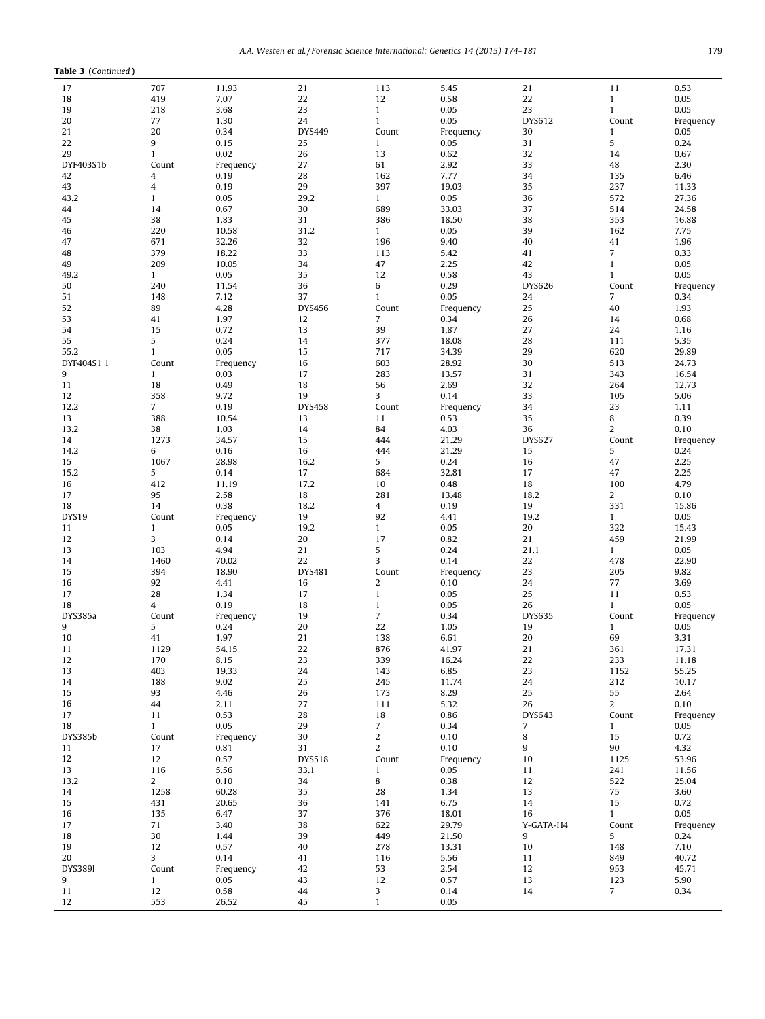| Table 3 (Continued) |                |                |               |                |                   |                |                |               |
|---------------------|----------------|----------------|---------------|----------------|-------------------|----------------|----------------|---------------|
| 17                  | 707            | 11.93          | 21            | 113            | 5.45              | 21             | 11             | 0.53          |
| 18                  | 419            | 7.07           | 22            | 12             | 0.58              | 22             | $\mathbf{1}$   | 0.05          |
| 19                  | 218            | 3.68           | 23            | $\mathbf{1}$   | 0.05              | 23             | $\mathbf{1}$   | 0.05          |
| 20                  | 77             | 1.30           | 24            | $\mathbf{1}$   | 0.05              | DYS612         | Count          | Frequency     |
| 21                  | 20             | 0.34           | <b>DYS449</b> | Count          | Frequency         | 30             | $\mathbf{1}$   | 0.05          |
| 22                  | 9              | 0.15           | 25            | $\mathbf{1}$   | 0.05              | 31             | 5              | 0.24          |
| 29                  | $\mathbf{1}$   | 0.02           | 26            | 13             | 0.62              | 32             | 14             | 0.67          |
| DYF403S1b           | Count          | Frequency      | 27            | 61             | 2.92              | 33             | 48             | 2.30          |
| 42                  | 4              | 0.19           | 28            | 162            | 7.77              | 34             | 135            | 6.46          |
| 43                  | 4              | 0.19           | 29            | 397            | 19.03             | 35             | 237            | 11.33         |
| 43.2                | $\mathbf{1}$   | 0.05           | 29.2          | $\mathbf{1}$   | 0.05              | 36             | 572            | 27.36         |
| 44                  | 14             | 0.67           | 30            | 689            | 33.03             | 37             | 514            | 24.58         |
| 45                  | 38             | 1.83           | 31            | 386            | 18.50             | 38             | 353            | 16.88         |
| 46                  | 220            | 10.58          | 31.2          | $\mathbf{1}$   | 0.05              | 39             | 162            | 7.75          |
| 47                  | 671            | 32.26          | 32            | 196            | 9.40              | 40             | 41             | 1.96          |
| 48                  | 379            | 18.22          | 33            | 113            | 5.42              | 41             | $\overline{7}$ | 0.33          |
| 49                  | 209            | 10.05          | 34            | 47             | 2.25              | 42             | $\mathbf{1}$   | 0.05          |
| 49.2                | $\mathbf{1}$   | 0.05           | 35            | 12             | 0.58              | 43             | $\mathbf{1}$   | 0.05          |
| 50                  | 240            | 11.54          | 36            | 6              | 0.29              | <b>DYS626</b>  | Count          | Frequency     |
| 51                  | 148            | 7.12           | 37            | $\mathbf{1}$   | 0.05              | 24             | 7              | 0.34          |
| 52                  | 89             | 4.28           | <b>DYS456</b> | Count          | Frequency         | 25             | 40             | 1.93          |
| 53                  | 41             | 1.97           | 12            | 7              | 0.34              | 26             | 14             | 0.68          |
| 54                  | 15             | 0.72           | 13            | 39             | 1.87              | 27             | 24             | 1.16          |
| 55                  | 5              | 0.24           | 14            | 377            | 18.08             | 28             | 111            | 5.35          |
| 55.2                | $\mathbf{1}$   | 0.05           | 15            | 717            | 34.39             | 29             | 620            | 29.89         |
| DYF404S1 1          | Count          | Frequency      | 16            | 603            | 28.92             | 30             | 513            | 24.73         |
| 9                   | $\mathbf{1}$   | 0.03           | 17            | 283            | 13.57             | 31             | 343            | 16.54         |
| 11                  | 18             | 0.49           | 18            | 56             | 2.69              | 32             | 264            | 12.73         |
| 12                  | 358            | 9.72           | 19            | 3              | 0.14              | 33             | 105            | 5.06          |
| 12.2                | $\overline{7}$ | 0.19           | <b>DYS458</b> | Count          | Frequency         | 34             | 23             | 1.11          |
| 13                  | 388            | 10.54          | 13            | 11             | 0.53              | 35             | 8              | 0.39          |
| 13.2                | 38             | 1.03           | 14            | 84             | 4.03              | 36             | $\overline{2}$ | 0.10          |
| 14                  | 1273           | 34.57          | 15            | 444            | 21.29             | <b>DYS627</b>  | Count          | Frequency     |
| 14.2                | 6              | 0.16           | 16            | 444            | 21.29             | 15             | 5              | 0.24          |
| 15                  | 1067           | 28.98          | 16.2          | 5              | 0.24              | 16             | 47             | 2.25          |
| 15.2                | 5              | 0.14           | 17            | 684            | 32.81             | 17             | 47             | 2.25          |
| 16                  | 412            | 11.19          | 17.2          | 10             | 0.48              | 18             | 100            | 4.79          |
| 17                  | 95             | 2.58           | 18            | 281            | 13.48             | 18.2           | $\overline{2}$ | 0.10          |
| 18                  | 14             | 0.38           | 18.2          | 4              | 0.19              | 19             | 331            | 15.86         |
| DYS19               | Count          | Frequency      | 19            | 92             | 4.41              | 19.2           | $\mathbf{1}$   | 0.05          |
| 11                  | $\mathbf{1}$   | 0.05           | 19.2          | $\mathbf{1}$   | 0.05              | 20             | 322            | 15.43         |
| 12                  | 3              | 0.14           | 20            | 17             | 0.82              | 21             | 459            | 21.99         |
| 13                  | 103            | 4.94           | 21<br>22      | 5<br>3         | 0.24              | 21.1           | $\mathbf{1}$   | 0.05          |
| 14<br>15            | 1460<br>394    | 70.02<br>18.90 |               | Count          | 0.14              | 22<br>23       | 478<br>205     | 22.90<br>9.82 |
| 16                  | 92             | 4.41           | DYS481<br>16  | $\overline{2}$ | Frequency<br>0.10 | 24             | 77             | 3.69          |
| 17                  | 28             | 1.34           | 17            | $\mathbf{1}$   | 0.05              | 25             | 11             | 0.53          |
| 18                  | 4              | 0.19           | 18            | $\mathbf{1}$   | 0.05              | 26             | $\mathbf{1}$   | 0.05          |
| DYS385a             | Count          | Frequency      | 19            | 7              | 0.34              | <b>DYS635</b>  | Count          | Frequency     |
| 9                   | 5              | 0.24           | 20            | 22             | 1.05              | 19             | $\mathbf{1}$   | 0.05          |
| 10                  | 41             | 1.97           | 21            | 138            | 6.61              | 20             | 69             | 3.31          |
| 11                  | 1129           | 54.15          | 22            | 876            | 41.97             | $21\,$         | 361            | 17.31         |
| 12                  | 170            | 8.15           | 23            | 339            | 16.24             | 22             | 233            | 11.18         |
| 13                  | 403            | 19.33          | 24            | 143            | 6.85              | 23             | 1152           | 55.25         |
| 14                  | 188            | 9.02           | 25            | 245            | 11.74             | 24             | 212            | 10.17         |
| 15                  | 93             | 4.46           | 26            | 173            | 8.29              | 25             | 55             | 2.64          |
| 16                  | 44             | 2.11           | 27            | 111            | 5.32              | 26             | $\overline{a}$ | 0.10          |
| 17                  | 11             | 0.53           | 28            | 18             | 0.86              | DYS643         | Count          | Frequency     |
| 18                  | $\mathbf{1}$   | 0.05           | 29            | $\overline{7}$ | 0.34              | $\overline{7}$ | $\mathbf{1}$   | 0.05          |
| DYS385b             | Count          | Frequency      | 30            | 2              | 0.10              | 8              | 15             | 0.72          |
| 11                  | 17             | 0.81           | 31            | $\overline{c}$ | 0.10              | 9              | 90             | 4.32          |
| 12                  | 12             | 0.57           | <b>DYS518</b> | Count          | Frequency         | 10             | 1125           | 53.96         |
| 13                  | 116            | 5.56           | 33.1          | $\mathbf{1}$   | 0.05              | 11             | 241            | 11.56         |
| 13.2                | $\overline{2}$ | 0.10           | 34            | 8              | 0.38              | 12             | 522            | 25.04         |
| 14                  | 1258           | 60.28          | 35            | 28             | 1.34              | 13             | 75             | 3.60          |
| 15                  | 431            | 20.65          | 36            | 141            | 6.75              | 14             | 15             | 0.72          |
| 16                  | 135            | 6.47           | 37            | 376            | 18.01             | 16             | $\mathbf{1}$   | 0.05          |
| 17                  | 71             | 3.40           | 38            | 622            | 29.79             | Y-GATA-H4      | Count          | Frequency     |
| 18                  | 30             | 1.44           | 39            | 449            | 21.50             | 9              | 5              | 0.24          |
| 19                  | 12             | 0.57           | 40            | 278            | 13.31             | $10\,$         | 148            | 7.10          |
| 20                  | 3              | 0.14           | 41            | 116            | 5.56              | 11             | 849            | 40.72         |
| <b>DYS389I</b>      | Count          | Frequency      | 42            | 53             | 2.54              | 12             | 953            | 45.71         |
| 9                   | $\mathbf{1}$   | 0.05           | 43            | 12             | 0.57              | 13             | 123            | 5.90          |
| 11                  | 12             | 0.58           | 44            | 3              | 0.14              | 14             | 7 <sup>7</sup> | 0.34          |
| 12                  | 553            | 26.52          | 45            | $\mathbf{1}$   | 0.05              |                |                |               |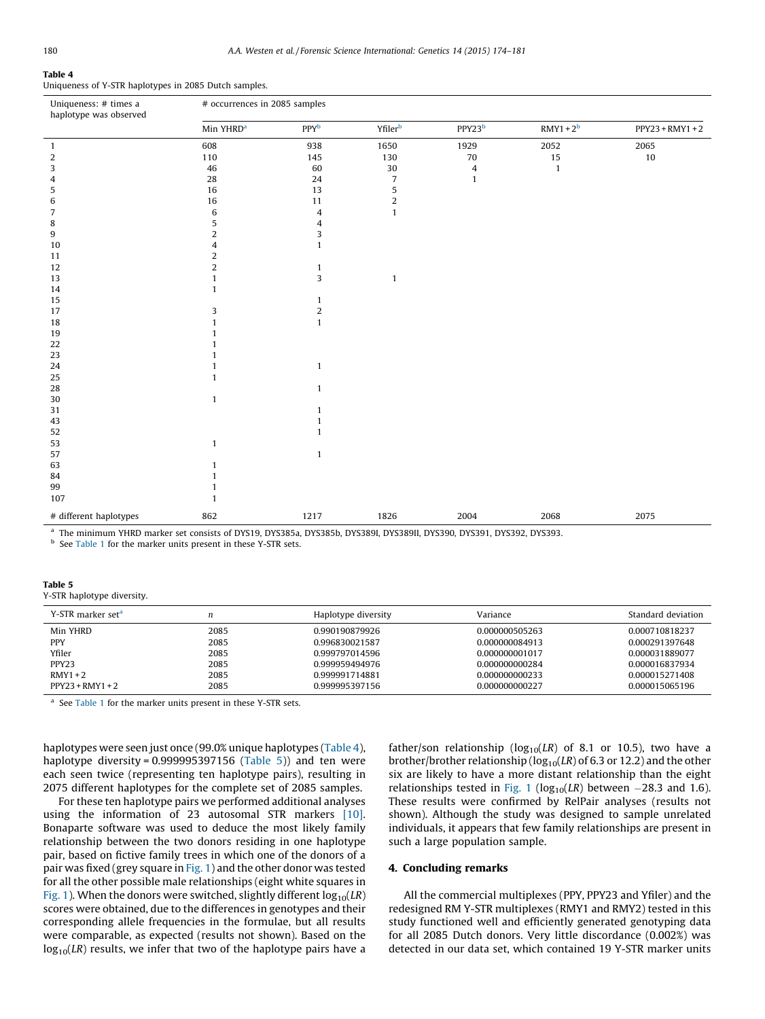# <span id="page-6-0"></span>Table 4

Uniqueness of Y-STR haplotypes in 2085 Dutch samples.

| Uniqueness: # times a<br>haplotype was observed                                                                      | # occurrences in 2085 samples |                |                           |                |              |                    |  |  |
|----------------------------------------------------------------------------------------------------------------------|-------------------------------|----------------|---------------------------|----------------|--------------|--------------------|--|--|
|                                                                                                                      | Min YHRD <sup>a</sup>         | PPYb           | $\mathsf{Yfiler}^{\rm b}$ | $PPY23^b$      | $RMY1 + 2b$  | $PPY23 + RMY1 + 2$ |  |  |
| $\mathbf{1}$                                                                                                         | 608                           | 938            | 1650                      | 1929           | 2052         | 2065               |  |  |
| 2                                                                                                                    | 110                           | 145            | 130                       | $70\,$         | 15           | $10\,$             |  |  |
| 3                                                                                                                    | 46                            | 60             | 30                        | $\overline{4}$ | $\mathbf{1}$ |                    |  |  |
| 4                                                                                                                    | 28                            | 24             | $\overline{7}$            | $\mathbf{1}$   |              |                    |  |  |
| 5                                                                                                                    | 16                            | 13             | 5                         |                |              |                    |  |  |
| 6                                                                                                                    | 16                            | 11             | $\overline{2}$            |                |              |                    |  |  |
| 7                                                                                                                    | 6                             | 4              | $\mathbf{1}$              |                |              |                    |  |  |
| 8                                                                                                                    | 5                             | 4              |                           |                |              |                    |  |  |
| 9                                                                                                                    | $\overline{2}$                | 3              |                           |                |              |                    |  |  |
| 10                                                                                                                   | 4                             | $\mathbf{1}$   |                           |                |              |                    |  |  |
| 11                                                                                                                   | $\overline{2}$                |                |                           |                |              |                    |  |  |
| 12                                                                                                                   | $\overline{2}$                | $\mathbf{1}$   |                           |                |              |                    |  |  |
| 13                                                                                                                   | $\mathbf{1}$                  | 3              | $\mathbf{1}$              |                |              |                    |  |  |
| 14                                                                                                                   | 1                             |                |                           |                |              |                    |  |  |
| 15                                                                                                                   |                               | 1              |                           |                |              |                    |  |  |
| 17                                                                                                                   | 3                             | $\overline{c}$ |                           |                |              |                    |  |  |
| 18                                                                                                                   | $\mathbf{1}$                  | $\mathbf{1}$   |                           |                |              |                    |  |  |
| 19                                                                                                                   | 1                             |                |                           |                |              |                    |  |  |
| 22                                                                                                                   |                               |                |                           |                |              |                    |  |  |
| 23                                                                                                                   |                               |                |                           |                |              |                    |  |  |
| 24                                                                                                                   |                               | $\mathbf{1}$   |                           |                |              |                    |  |  |
| 25                                                                                                                   | $\mathbf{1}$                  |                |                           |                |              |                    |  |  |
| 28                                                                                                                   |                               | $\mathbf{1}$   |                           |                |              |                    |  |  |
| 30                                                                                                                   | $\mathbf{1}$                  |                |                           |                |              |                    |  |  |
| 31                                                                                                                   |                               | 1              |                           |                |              |                    |  |  |
| 43                                                                                                                   |                               | 1              |                           |                |              |                    |  |  |
| 52                                                                                                                   |                               | 1              |                           |                |              |                    |  |  |
| 53                                                                                                                   | $\mathbf{1}$                  |                |                           |                |              |                    |  |  |
| 57                                                                                                                   |                               | $\mathbf{1}$   |                           |                |              |                    |  |  |
| 63                                                                                                                   | 1                             |                |                           |                |              |                    |  |  |
| 84                                                                                                                   | 1                             |                |                           |                |              |                    |  |  |
| 99                                                                                                                   | $\mathbf{1}$                  |                |                           |                |              |                    |  |  |
| 107                                                                                                                  | $\mathbf{1}$                  |                |                           |                |              |                    |  |  |
| # different haplotypes                                                                                               | 862                           | 1217           | 1826                      | 2004           | 2068         | 2075               |  |  |
| a The minimum VHRD marker set consists of DVS10, DVS3853, DVS385b, DVS380I, DVS380II, DVS300, DVS301, DVS303, DVS303 |                               |                |                           |                |              |                    |  |  |

<sup>a</sup> The minimum YHRD marker set consists of DYS19, DYS385a, DYS385b, DYS389I, DYS389II, DYS390, DYS391, DYS392, DYS393.

<sup>b</sup> See [Table](#page-1-0) 1 for the marker units present in these Y-STR sets.

#### Table 5

Y-STR haplotype diversity.

| Y-STR marker set <sup>a</sup> | n    | Haplotype diversity | Variance       | Standard deviation |
|-------------------------------|------|---------------------|----------------|--------------------|
| Min YHRD                      | 2085 | 0.990190879926      | 0.000000505263 | 0.000710818237     |
| <b>PPY</b>                    | 2085 | 0.996830021587      | 0.000000084913 | 0.000291397648     |
| Yfiler                        | 2085 | 0.999797014596      | 0.000000001017 | 0.000031889077     |
| PPY23                         | 2085 | 0.999959494976      | 0.000000000284 | 0.000016837934     |
| $RMY1+2$                      | 2085 | 0.999991714881      | 0.000000000233 | 0.000015271408     |
| $PPY23 + RMY1 + 2$            | 2085 | 0.999995397156      | 0.000000000227 | 0.000015065196     |

<sup>a</sup> See [Table](#page-1-0) 1 for the marker units present in these Y-STR sets.

haplotypes were seen just once (99.0% unique haplotypes (Table 4), haplotype diversity =  $0.999995397156$  (Table 5)) and ten were each seen twice (representing ten haplotype pairs), resulting in 2075 different haplotypes for the complete set of 2085 samples.

For these ten haplotype pairs we performed additional analyses using the information of 23 autosomal STR markers [\[10\].](#page-7-0) Bonaparte software was used to deduce the most likely family relationship between the two donors residing in one haplotype pair, based on fictive family trees in which one of the donors of a pair was fixed (grey square in [Fig.](#page-3-0) 1) and the other donor was tested for all the other possible male relationships (eight white squares in [Fig.](#page-3-0) 1). When the donors were switched, slightly different  $log_{10}(LR)$ scores were obtained, due to the differences in genotypes and their corresponding allele frequencies in the formulae, but all results were comparable, as expected (results not shown). Based on the  $log_{10}(LR)$  results, we infer that two of the haplotype pairs have a father/son relationship ( $log_{10}(LR)$  of 8.1 or 10.5), two have a brother/brother relationship ( $log_{10}(LR)$  of 6.3 or 12.2) and the other six are likely to have a more distant relationship than the eight relationships tested in [Fig.](#page-3-0) 1 ( $log_{10}(LR)$  between -28.3 and 1.6). These results were confirmed by RelPair analyses (results not shown). Although the study was designed to sample unrelated individuals, it appears that few family relationships are present in such a large population sample.

#### 4. Concluding remarks

All the commercial multiplexes (PPY, PPY23 and Yfiler) and the redesigned RM Y-STR multiplexes (RMY1 and RMY2) tested in this study functioned well and efficiently generated genotyping data for all 2085 Dutch donors. Very little discordance (0.002%) was detected in our data set, which contained 19 Y-STR marker units